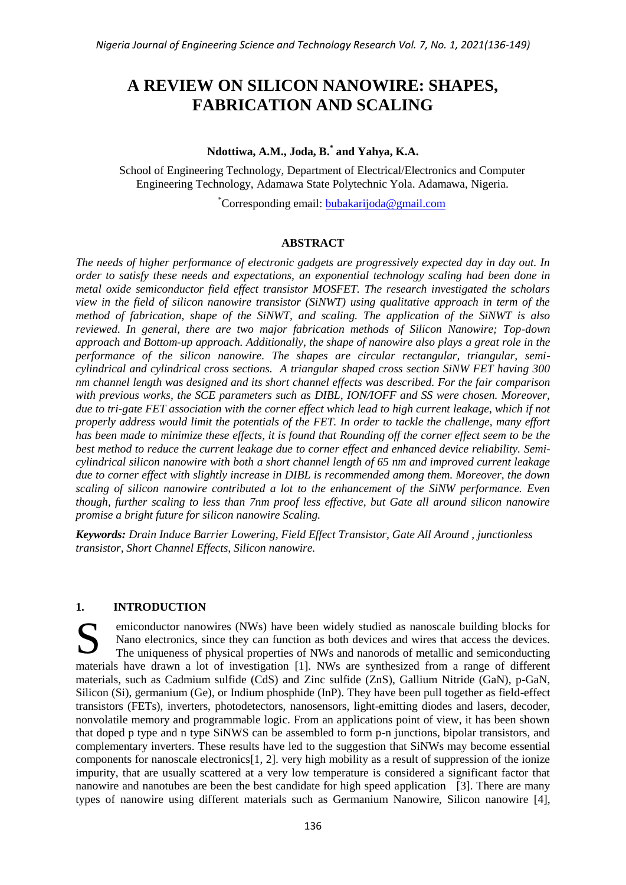# **A REVIEW ON SILICON NANOWIRE: SHAPES, FABRICATION AND SCALING**

## **Ndottiwa, A.M., Joda, B.\* and Yahya, K.A.**

School of Engineering Technology, Department of Electrical/Electronics and Computer Engineering Technology, Adamawa State Polytechnic Yola. Adamawa, Nigeria.

\*Corresponding email: [bubakarijoda@gmail.com](mailto:bubakarijoda@gmail.com)

## **ABSTRACT**

*The needs of higher performance of electronic gadgets are progressively expected day in day out. In order to satisfy these needs and expectations, an exponential technology scaling had been done in metal oxide semiconductor field effect transistor MOSFET. The research investigated the scholars view in the field of silicon nanowire transistor (SiNWT) using qualitative approach in term of the method of fabrication, shape of the SiNWT, and scaling. The application of the SiNWT is also reviewed. In general, there are two major fabrication methods of Silicon Nanowire; Top-down approach and Bottom-up approach. Additionally, the shape of nanowire also plays a great role in the performance of the silicon nanowire. The shapes are circular rectangular, triangular, semicylindrical and cylindrical cross sections. A triangular shaped cross section SiNW FET having 300 nm channel length was designed and its short channel effects was described. For the fair comparison with previous works, the SCE parameters such as DIBL, ION/IOFF and SS were chosen. Moreover, due to tri-gate FET association with the corner effect which lead to high current leakage, which if not properly address would limit the potentials of the FET. In order to tackle the challenge, many effort has been made to minimize these effects, it is found that Rounding off the corner effect seem to be the best method to reduce the current leakage due to corner effect and enhanced device reliability. Semicylindrical silicon nanowire with both a short channel length of 65 nm and improved current leakage due to corner effect with slightly increase in DIBL is recommended among them. Moreover, the down scaling of silicon nanowire contributed a lot to the enhancement of the SiNW performance. Even though, further scaling to less than 7nm proof less effective, but Gate all around silicon nanowire promise a bright future for silicon nanowire Scaling.*

*Keywords: Drain Induce Barrier Lowering, Field Effect Transistor, Gate All Around , junctionless transistor, Short Channel Effects, Silicon nanowire.*

## **1. INTRODUCTION**

emiconductor nanowires (NWs) have been widely studied as nanoscale building blocks for Nano electronics, since they can function as both devices and wires that access the devices. The uniqueness of physical properties of NWs and nanorods of metallic and semiconducting materials have drawn a lot of investigation [1]. NWs are synthesized from a range of different materials, such as Cadmium sulfide (CdS) and Zinc sulfide (ZnS), Gallium Nitride (GaN), p-GaN, Silicon (Si), germanium (Ge), or Indium phosphide (InP). They have been pull together as field-effect transistors (FETs), inverters, photodetectors, nanosensors, light-emitting diodes and lasers, decoder, nonvolatile memory and programmable logic. From an applications point of view, it has been shown that doped p type and n type SiNWS can be assembled to form p-n junctions, bipolar transistors, and complementary inverters. These results have led to the suggestion that SiNWs may become essential components for nanoscale electronics[1, 2]. very high mobility as a result of suppression of the ionize impurity, that are usually scattered at a very low temperature is considered a significant factor that nanowire and nanotubes are been the best candidate for high speed application [3]. There are many types of nanowire using different materials such as Germanium Nanowire, Silicon nanowire [4], S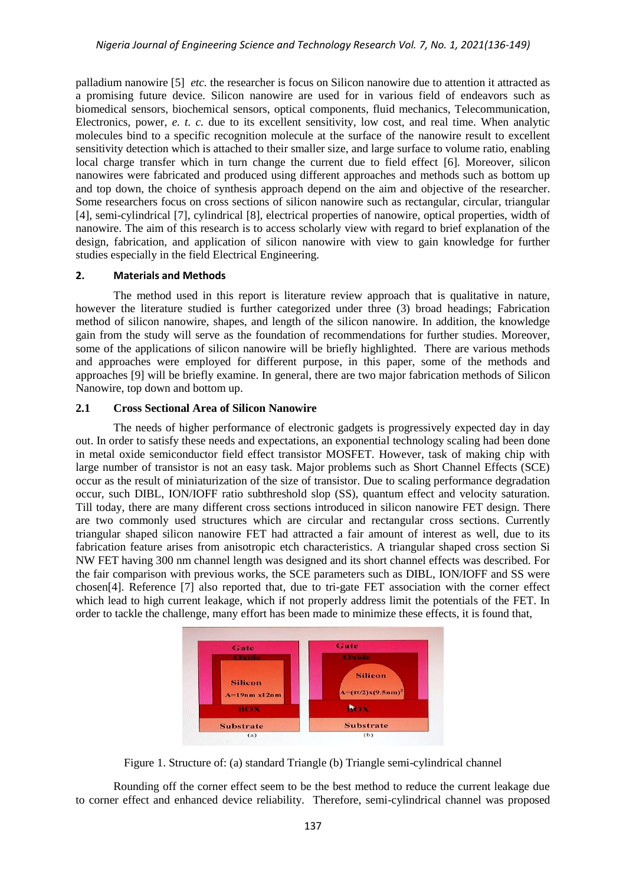palladium nanowire [5] *etc.* the researcher is focus on Silicon nanowire due to attention it attracted as a promising future device. Silicon nanowire are used for in various field of endeavors such as biomedical sensors, biochemical sensors, optical components, fluid mechanics, Telecommunication, Electronics, power, *e. t. c.* due to its excellent sensitivity, low cost, and real time. When analytic molecules bind to a specific recognition molecule at the surface of the nanowire result to excellent sensitivity detection which is attached to their smaller size, and large surface to volume ratio, enabling local charge transfer which in turn change the current due to field effect [6]. Moreover, silicon nanowires were fabricated and produced using different approaches and methods such as bottom up and top down, the choice of synthesis approach depend on the aim and objective of the researcher. Some researchers focus on cross sections of silicon nanowire such as rectangular, circular, triangular [4], semi-cylindrical [7], cylindrical [8], electrical properties of nanowire, optical properties, width of nanowire. The aim of this research is to access scholarly view with regard to brief explanation of the design, fabrication, and application of silicon nanowire with view to gain knowledge for further studies especially in the field Electrical Engineering.

## **2. Materials and Methods**

The method used in this report is literature review approach that is qualitative in nature, however the literature studied is further categorized under three (3) broad headings; Fabrication method of silicon nanowire, shapes, and length of the silicon nanowire. In addition, the knowledge gain from the study will serve as the foundation of recommendations for further studies. Moreover, some of the applications of silicon nanowire will be briefly highlighted. There are various methods and approaches were employed for different purpose, in this paper, some of the methods and approaches [9] will be briefly examine. In general, there are two major fabrication methods of Silicon Nanowire, top down and bottom up.

## **2.1 Cross Sectional Area of Silicon Nanowire**

The needs of higher performance of electronic gadgets is progressively expected day in day out. In order to satisfy these needs and expectations, an exponential technology scaling had been done in metal oxide semiconductor field effect transistor MOSFET. However, task of making chip with large number of transistor is not an easy task. Major problems such as Short Channel Effects (SCE) occur as the result of miniaturization of the size of transistor. Due to scaling performance degradation occur, such DIBL, ION/IOFF ratio subthreshold slop (SS), quantum effect and velocity saturation. Till today, there are many different cross sections introduced in silicon nanowire FET design. There are two commonly used structures which are circular and rectangular cross sections. Currently triangular shaped silicon nanowire FET had attracted a fair amount of interest as well, due to its fabrication feature arises from anisotropic etch characteristics. A triangular shaped cross section Si NW FET having 300 nm channel length was designed and its short channel effects was described. For the fair comparison with previous works, the SCE parameters such as DIBL, ION/IOFF and SS were chosen[4]. Reference [7] also reported that, due to tri-gate FET association with the corner effect which lead to high current leakage, which if not properly address limit the potentials of the FET. In order to tackle the challenge, many effort has been made to minimize these effects, it is found that,



Figure 1. Structure of: (a) standard Triangle (b) Triangle semi-cylindrical channel

Rounding off the corner effect seem to be the best method to reduce the current leakage due to corner effect and enhanced device reliability. Therefore, semi-cylindrical channel was proposed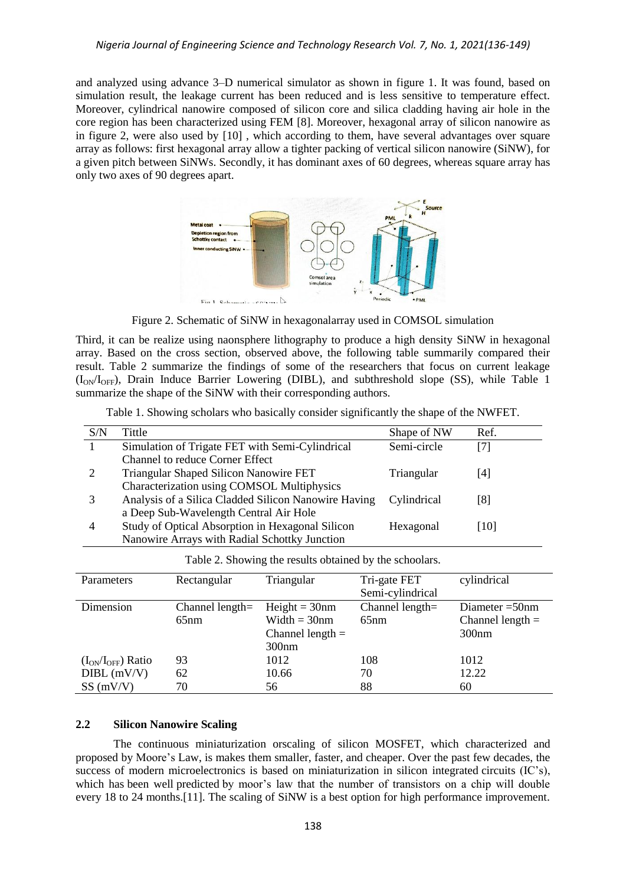and analyzed using advance 3–D numerical simulator as shown in figure 1. It was found, based on simulation result, the leakage current has been reduced and is less sensitive to temperature effect. Moreover, cylindrical nanowire composed of silicon core and silica cladding having air hole in the core region has been characterized using FEM [8]. Moreover, hexagonal array of silicon nanowire as in figure 2, were also used by [10] , which according to them, have several advantages over square array as follows: first hexagonal array allow a tighter packing of vertical silicon nanowire (SiNW), for a given pitch between SiNWs. Secondly, it has dominant axes of 60 degrees, whereas square array has only two axes of 90 degrees apart.



Figure 2. Schematic of SiNW in hexagonalarray used in COMSOL simulation

Third, it can be realize using naonsphere lithography to produce a high density SiNW in hexagonal array. Based on the cross section, observed above, the following table summarily compared their result. Table 2 summarize the findings of some of the researchers that focus on current leakage  $(I<sub>ON</sub>/I<sub>OFF</sub>)$ , Drain Induce Barrier Lowering (DIBL), and subthreshold slope (SS), while Table 1 summarize the shape of the SiNW with their corresponding authors.

| S/N                                                     | Tittle                                               |                                 |                    | Shape of NW        | Ref.               |  |  |  |  |
|---------------------------------------------------------|------------------------------------------------------|---------------------------------|--------------------|--------------------|--------------------|--|--|--|--|
| -1                                                      | Simulation of Trigate FET with Semi-Cylindrical      |                                 | Semi-circle        | [7]                |                    |  |  |  |  |
|                                                         |                                                      | Channel to reduce Corner Effect |                    |                    |                    |  |  |  |  |
| 2                                                       | Triangular Shaped Silicon Nanowire FET               |                                 |                    | Triangular         | $[4]$              |  |  |  |  |
|                                                         | Characterization using COMSOL Multiphysics           |                                 |                    |                    |                    |  |  |  |  |
| 3                                                       | Analysis of a Silica Cladded Silicon Nanowire Having |                                 | Cylindrical        | [8]                |                    |  |  |  |  |
|                                                         | a Deep Sub-Wavelength Central Air Hole               |                                 |                    |                    |                    |  |  |  |  |
| 4                                                       | Study of Optical Absorption in Hexagonal Silicon     |                                 | Hexagonal          | $[10]$             |                    |  |  |  |  |
|                                                         | Nanowire Arrays with Radial Schottky Junction        |                                 |                    |                    |                    |  |  |  |  |
| Table 2. Showing the results obtained by the schoolars. |                                                      |                                 |                    |                    |                    |  |  |  |  |
| Parameters                                              |                                                      | Rectangular                     | Triangular         | Tri-gate FET       | cylindrical        |  |  |  |  |
|                                                         |                                                      |                                 |                    | Semi-cylindrical   |                    |  |  |  |  |
| Dimension                                               |                                                      | Channel length $=$              | $Height = 30nm$    | Channel length $=$ | Diameter $=50$ nm  |  |  |  |  |
|                                                         |                                                      | 65nm                            | Width $=$ 30nm     | 65nm               | Channel length $=$ |  |  |  |  |
|                                                         |                                                      |                                 | Channel length $=$ |                    | 300 <sub>nm</sub>  |  |  |  |  |
|                                                         |                                                      |                                 | 300 <sub>nm</sub>  |                    |                    |  |  |  |  |
|                                                         | $(I_{ON}/I_{OFF})$ Ratio                             | 93                              | 1012               | 108                | 1012               |  |  |  |  |

Table 1. Showing scholars who basically consider significantly the shape of the NWFET.

#### **2.2 Silicon Nanowire Scaling**

The continuous miniaturization orscaling of silicon MOSFET, which characterized and proposed by Moore's Law, is makes them smaller, faster, and cheaper. Over the past few decades, the success of modern microelectronics is based on miniaturization in silicon integrated circuits (IC's), which has been well predicted by moor's law that the number of transistors on a chip will double every 18 to 24 months.[11]. The scaling of SiNW is a best option for high performance improvement.

DIBL (mV/V) 62 10.66 70 12.22  $SS(mV/V)$  70 56 88 60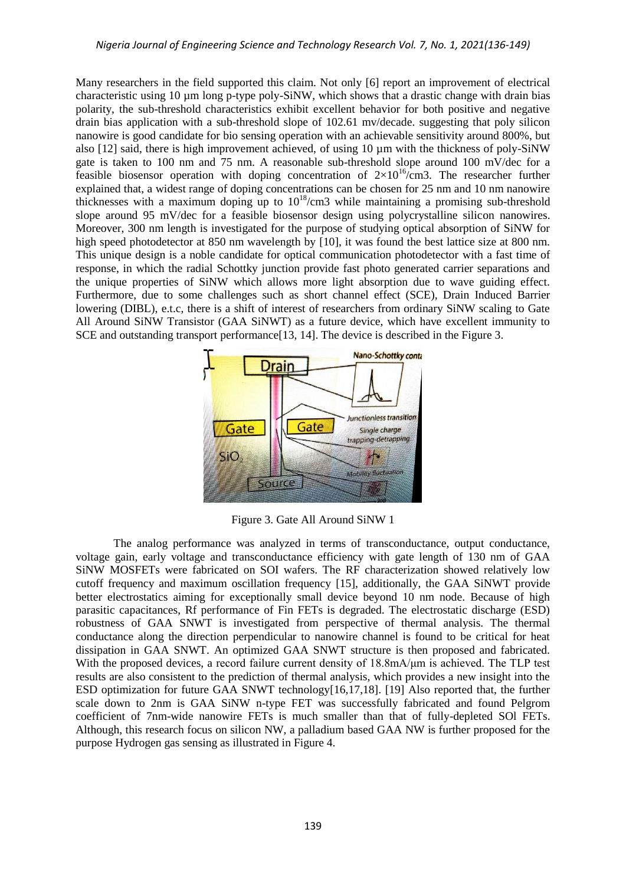Many researchers in the field supported this claim. Not only [6] report an improvement of electrical characteristic using  $10 \mu m$  long p-type poly-SiNW, which shows that a drastic change with drain bias polarity, the sub-threshold characteristics exhibit excellent behavior for both positive and negative drain bias application with a sub-threshold slope of 102.61 mv/decade. suggesting that poly silicon nanowire is good candidate for bio sensing operation with an achievable sensitivity around 800%, but also [12] said, there is high improvement achieved, of using 10 µm with the thickness of poly-SiNW gate is taken to 100 nm and 75 nm. A reasonable sub-threshold slope around 100 mV/dec for a feasible biosensor operation with doping concentration of  $2\times10^{16}/\text{cm}$ 3. The researcher further explained that, a widest range of doping concentrations can be chosen for 25 nm and 10 nm nanowire thicknesses with a maximum doping up to  $10^{18}$ /cm3 while maintaining a promising sub-threshold slope around 95 mV/dec for a feasible biosensor design using polycrystalline silicon nanowires. Moreover, 300 nm length is investigated for the purpose of studying optical absorption of SiNW for high speed photodetector at 850 nm wavelength by [10], it was found the best lattice size at 800 nm. This unique design is a noble candidate for optical communication photodetector with a fast time of response, in which the radial Schottky junction provide fast photo generated carrier separations and the unique properties of SiNW which allows more light absorption due to wave guiding effect. Furthermore, due to some challenges such as short channel effect (SCE), Drain Induced Barrier lowering (DIBL), e.t.c, there is a shift of interest of researchers from ordinary SiNW scaling to Gate All Around SiNW Transistor (GAA SiNWT) as a future device, which have excellent immunity to SCE and outstanding transport performance<sup>[13, 14]</sup>. The device is described in the Figure 3.



Figure 3. Gate All Around SiNW 1

The analog performance was analyzed in terms of transconductance, output conductance, voltage gain, early voltage and transconductance efficiency with gate length of 130 nm of GAA SiNW MOSFETs were fabricated on SOI wafers. The RF characterization showed relatively low cutoff frequency and maximum oscillation frequency [15], additionally, the GAA SiNWT provide better electrostatics aiming for exceptionally small device beyond 10 nm node. Because of high parasitic capacitances, Rf performance of Fin FETs is degraded. The electrostatic discharge (ESD) robustness of GAA SNWT is investigated from perspective of thermal analysis. The thermal conductance along the direction perpendicular to nanowire channel is found to be critical for heat dissipation in GAA SNWT. An optimized GAA SNWT structure is then proposed and fabricated. With the proposed devices, a record failure current density of 18.8mA/μm is achieved. The TLP test results are also consistent to the prediction of thermal analysis, which provides a new insight into the ESD optimization for future GAA SNWT technology[16,17,18]. [19] Also reported that, the further scale down to 2nm is GAA SiNW n-type FET was successfully fabricated and found Pelgrom coefficient of 7nm-wide nanowire FETs is much smaller than that of fully-depleted SOl FETs. Although, this research focus on silicon NW, a palladium based GAA NW is further proposed for the purpose Hydrogen gas sensing as illustrated in Figure 4.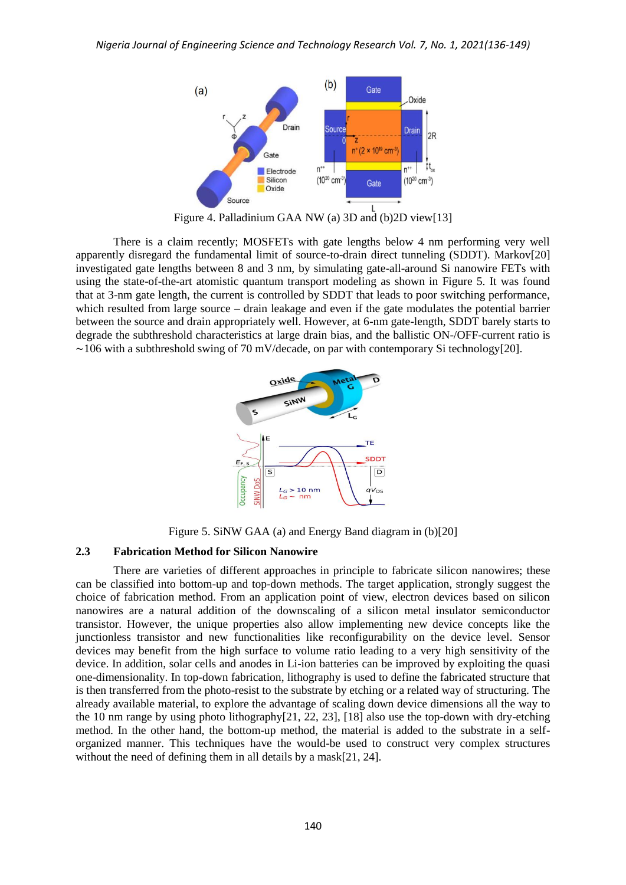

Figure 4. Palladinium GAA NW (a) 3D and (b)2D view[13]

There is a claim recently; MOSFETs with gate lengths below 4 nm performing very well apparently disregard the fundamental limit of source-to-drain direct tunneling (SDDT). Markov[20] investigated gate lengths between 8 and 3 nm, by simulating gate-all-around Si nanowire FETs with using the state-of-the-art atomistic quantum transport modeling as shown in Figure 5. It was found that at 3-nm gate length, the current is controlled by SDDT that leads to poor switching performance, which resulted from large source – drain leakage and even if the gate modulates the potential barrier between the source and drain appropriately well. However, at 6-nm gate-length, SDDT barely starts to degrade the subthreshold characteristics at large drain bias, and the ballistic ON-/OFF-current ratio is  $\sim$ 106 with a subthreshold swing of 70 mV/decade, on par with contemporary Si technology[20].



Figure 5. SiNW GAA (a) and Energy Band diagram in (b)[20]

#### **2.3 Fabrication Method for Silicon Nanowire**

There are varieties of different approaches in principle to fabricate silicon nanowires; these can be classified into bottom-up and top-down methods. The target application, strongly suggest the choice of fabrication method. From an application point of view, electron devices based on silicon nanowires are a natural addition of the downscaling of a silicon metal insulator semiconductor transistor. However, the unique properties also allow implementing new device concepts like the junctionless transistor and new functionalities like reconfigurability on the device level. Sensor devices may benefit from the high surface to volume ratio leading to a very high sensitivity of the device. In addition, solar cells and anodes in Li-ion batteries can be improved by exploiting the quasi one-dimensionality. In top-down fabrication, lithography is used to define the fabricated structure that is then transferred from the photo-resist to the substrate by etching or a related way of structuring. The already available material, to explore the advantage of scaling down device dimensions all the way to the 10 nm range by using photo lithography[21, 22, 23], [18] also use the top-down with dry-etching method. In the other hand, the bottom-up method, the material is added to the substrate in a selforganized manner. This techniques have the would-be used to construct very complex structures without the need of defining them in all details by a mask[21, 24].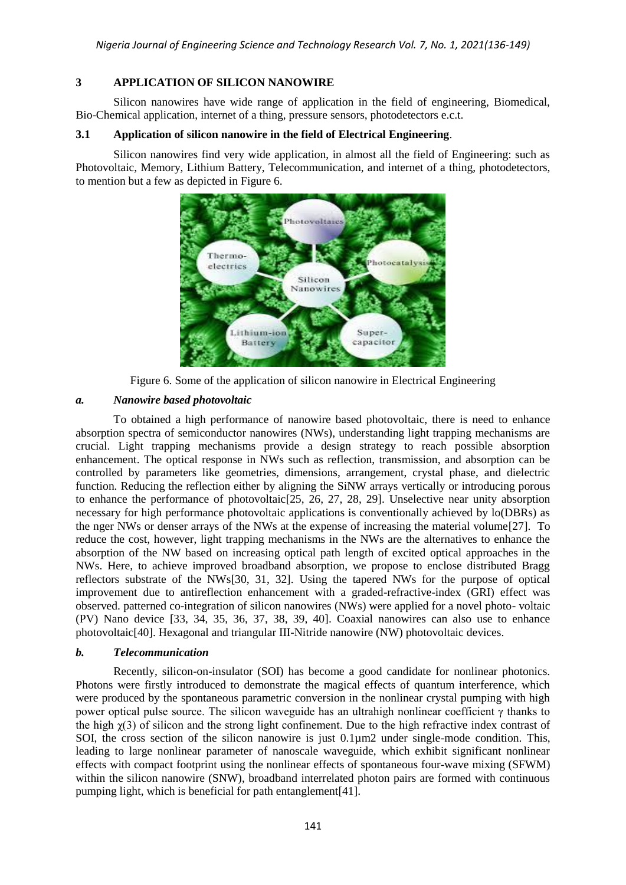# **3 APPLICATION OF SILICON NANOWIRE**

Silicon nanowires have wide range of application in the field of engineering, Biomedical, Bio-Chemical application, internet of a thing, pressure sensors, photodetectors e.c.t.

# **3.1 Application of silicon nanowire in the field of Electrical Engineering**.

Silicon nanowires find very wide application, in almost all the field of Engineering: such as Photovoltaic, Memory, Lithium Battery, Telecommunication, and internet of a thing, photodetectors, to mention but a few as depicted in Figure 6.



Figure 6. Some of the application of silicon nanowire in Electrical Engineering

## *a. Nanowire based photovoltaic*

To obtained a high performance of nanowire based photovoltaic, there is need to enhance absorption spectra of semiconductor nanowires (NWs), understanding light trapping mechanisms are crucial. Light trapping mechanisms provide a design strategy to reach possible absorption enhancement. The optical response in NWs such as reflection, transmission, and absorption can be controlled by parameters like geometries, dimensions, arrangement, crystal phase, and dielectric function. Reducing the reflection either by aligning the SiNW arrays vertically or introducing porous to enhance the performance of photovoltaic[25, 26, 27, 28, 29]. Unselective near unity absorption necessary for high performance photovoltaic applications is conventionally achieved by lo(DBRs) as the nger NWs or denser arrays of the NWs at the expense of increasing the material volume[27]. To reduce the cost, however, light trapping mechanisms in the NWs are the alternatives to enhance the absorption of the NW based on increasing optical path length of excited optical approaches in the NWs. Here, to achieve improved broadband absorption, we propose to enclose distributed Bragg reflectors substrate of the NWs[30, 31, 32]. Using the tapered NWs for the purpose of optical improvement due to antireflection enhancement with a graded-refractive-index (GRI) effect was observed. patterned co-integration of silicon nanowires (NWs) were applied for a novel photo- voltaic (PV) Nano device [33, 34, 35, 36, 37, 38, 39, 40]. Coaxial nanowires can also use to enhance photovoltaic[40]. Hexagonal and triangular III-Nitride nanowire (NW) photovoltaic devices.

## *b. Telecommunication*

Recently, silicon-on-insulator (SOI) has become a good candidate for nonlinear photonics. Photons were firstly introduced to demonstrate the magical effects of quantum interference, which were produced by the spontaneous parametric conversion in the nonlinear crystal pumping with high power optical pulse source. The silicon waveguide has an ultrahigh nonlinear coefficient  $\gamma$  thanks to the high  $\chi$ (3) of silicon and the strong light confinement. Due to the high refractive index contrast of SOI, the cross section of the silicon nanowire is just 0.1µm2 under single-mode condition. This, leading to large nonlinear parameter of nanoscale waveguide, which exhibit significant nonlinear effects with compact footprint using the nonlinear effects of spontaneous four-wave mixing (SFWM) within the silicon nanowire (SNW), broadband interrelated photon pairs are formed with continuous pumping light, which is beneficial for path entanglement[41].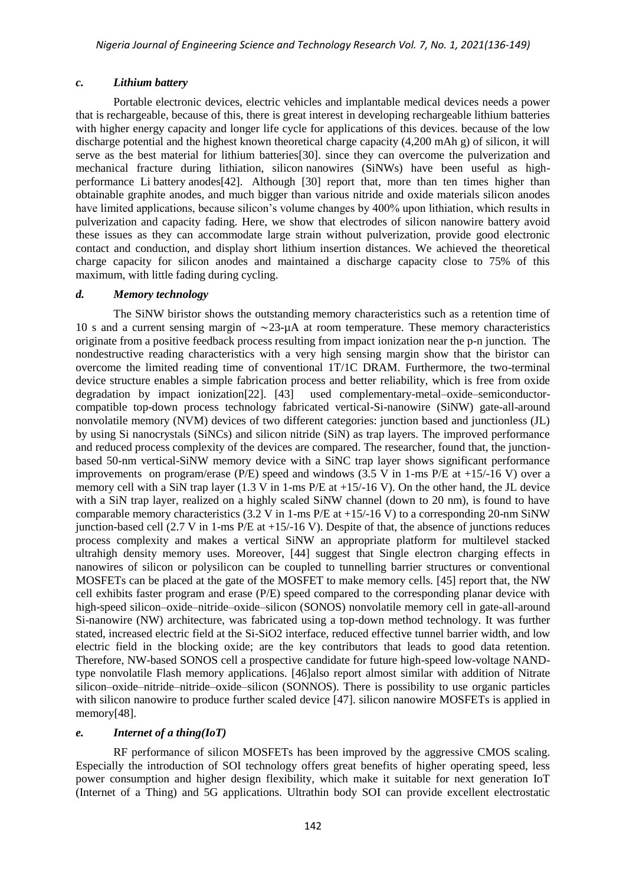## *c. Lithium battery*

Portable electronic devices, electric vehicles and implantable medical devices needs a power that is rechargeable, because of this, there is great interest in developing rechargeable lithium batteries with higher energy capacity and longer life cycle for applications of this devices. because of the low discharge potential and the highest known theoretical charge capacity (4,200 mAh g) of silicon, it will serve as the best material for lithium batteries[30]. since they can overcome the pulverization and mechanical fracture during lithiation, silicon nanowires (SiNWs) have been useful as highperformance Li battery anodes[42]. Although [30] report that, more than ten times higher than obtainable graphite anodes, and much bigger than various nitride and oxide materials silicon anodes have limited applications, because silicon's volume changes by 400% upon lithiation, which results in pulverization and capacity fading. Here, we show that electrodes of silicon nanowire battery avoid these issues as they can accommodate large strain without pulverization, provide good electronic contact and conduction, and display short lithium insertion distances. We achieved the theoretical charge capacity for silicon anodes and maintained a discharge capacity close to 75% of this maximum, with little fading during cycling.

## *d. Memory technology*

The SiNW biristor shows the outstanding memory characteristics such as a retention time of 10 s and a current sensing margin of ∼23-µA at room temperature. These memory characteristics originate from a positive feedback process resulting from impact ionization near the p-n junction. The nondestructive reading characteristics with a very high sensing margin show that the biristor can overcome the limited reading time of conventional 1T/1C DRAM. Furthermore, the two-terminal device structure enables a simple fabrication process and better reliability, which is free from oxide degradation by impact ionization[22]. [43] used complementary-metal–oxide–semiconductorcompatible top-down process technology fabricated vertical-Si-nanowire (SiNW) gate-all-around nonvolatile memory (NVM) devices of two different categories: junction based and junctionless (JL) by using Si nanocrystals (SiNCs) and silicon nitride (SiN) as trap layers. The improved performance and reduced process complexity of the devices are compared. The researcher, found that, the junctionbased 50-nm vertical-SiNW memory device with a SiNC trap layer shows significant performance improvements on program/erase (P/E) speed and windows (3.5 V in 1-ms P/E at +15/-16 V) over a memory cell with a SiN trap layer (1.3 V in 1-ms P/E at +15/-16 V). On the other hand, the JL device with a SiN trap layer, realized on a highly scaled SiNW channel (down to 20 nm), is found to have comparable memory characteristics (3.2 V in 1-ms  $P/E$  at  $+15/-16$  V) to a corresponding 20-nm SiNW junction-based cell  $(2.7 \text{ V in } 1\text{-ms } P/E \text{ at } +15/16 \text{ V})$ . Despite of that, the absence of junctions reduces process complexity and makes a vertical SiNW an appropriate platform for multilevel stacked ultrahigh density memory uses. Moreover, [44] suggest that Single electron charging effects in nanowires of silicon or polysilicon can be coupled to tunnelling barrier structures or conventional MOSFETs can be placed at the gate of the MOSFET to make memory cells. [45] report that, the NW cell exhibits faster program and erase (P/E) speed compared to the corresponding planar device with high-speed silicon–oxide–nitride–oxide–silicon (SONOS) nonvolatile memory cell in gate-all-around Si-nanowire (NW) architecture, was fabricated using a top-down method technology. It was further stated, increased electric field at the Si-SiO2 interface, reduced effective tunnel barrier width, and low electric field in the blocking oxide; are the key contributors that leads to good data retention. Therefore, NW-based SONOS cell a prospective candidate for future high-speed low-voltage NANDtype nonvolatile Flash memory applications. [46]also report almost similar with addition of Nitrate silicon–oxide–nitride–nitride–oxide–silicon (SONNOS). There is possibility to use organic particles with silicon nanowire to produce further scaled device [47]. silicon nanowire MOSFETs is applied in memory[48].

## *e. Internet of a thing(IoT)*

RF performance of silicon MOSFETs has been improved by the aggressive CMOS scaling. Especially the introduction of SOI technology offers great benefits of higher operating speed, less power consumption and higher design flexibility, which make it suitable for next generation IoT (Internet of a Thing) and 5G applications. Ultrathin body SOI can provide excellent electrostatic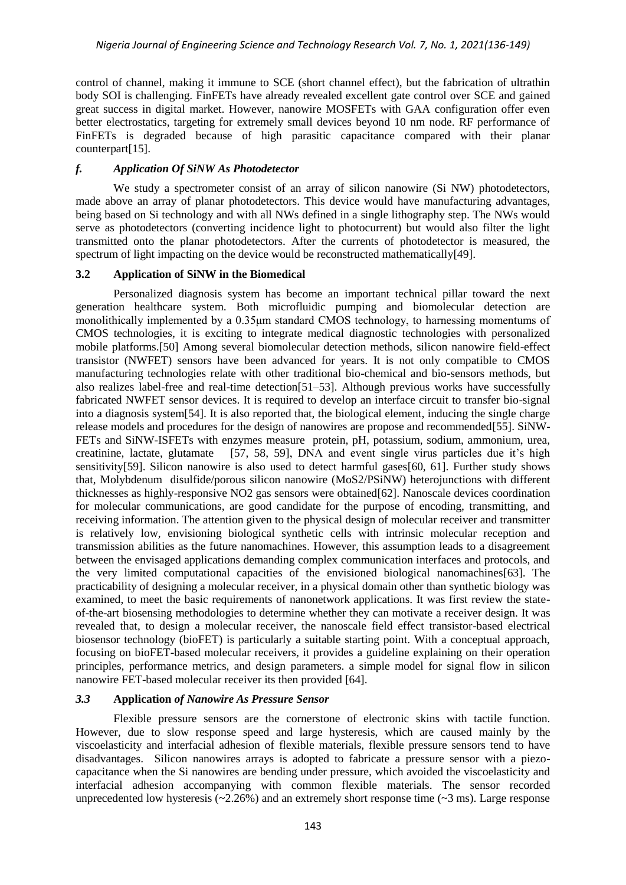control of channel, making it immune to SCE (short channel effect), but the fabrication of ultrathin body SOI is challenging. FinFETs have already revealed excellent gate control over SCE and gained great success in digital market. However, nanowire MOSFETs with GAA configuration offer even better electrostatics, targeting for extremely small devices beyond 10 nm node. RF performance of FinFETs is degraded because of high parasitic capacitance compared with their planar counterpart[15].

## *f. Application Of SiNW As Photodetector*

We study a spectrometer consist of an array of silicon nanowire (Si NW) photodetectors, made above an array of planar photodetectors. This device would have manufacturing advantages, being based on Si technology and with all NWs defined in a single lithography step. The NWs would serve as photodetectors (converting incidence light to photocurrent) but would also filter the light transmitted onto the planar photodetectors. After the currents of photodetector is measured, the spectrum of light impacting on the device would be reconstructed mathematically[49].

## **3.2 Application of SiNW in the Biomedical**

Personalized diagnosis system has become an important technical pillar toward the next generation healthcare system. Both microfluidic pumping and biomolecular detection are monolithically implemented by a 0.35μm standard CMOS technology, to harnessing momentums of CMOS technologies, it is exciting to integrate medical diagnostic technologies with personalized mobile platforms.[50] Among several biomolecular detection methods, silicon nanowire field-effect transistor (NWFET) sensors have been advanced for years. It is not only compatible to CMOS manufacturing technologies relate with other traditional bio-chemical and bio-sensors methods, but also realizes label-free and real-time detection[51–53]. Although previous works have successfully fabricated NWFET sensor devices. It is required to develop an interface circuit to transfer bio-signal into a diagnosis system[54]. It is also reported that, the biological element, inducing the single charge release models and procedures for the design of nanowires are propose and recommended[55]. SiNW-FETs and SiNW-ISFETs with enzymes measure protein, pH, potassium, sodium, ammonium, urea, creatinine, lactate, glutamate [57, 58, 59], DNA and event single virus particles due it's high sensitivity[59]. Silicon nanowire is also used to detect harmful gases[60, 61]. Further study shows that, Molybdenum disulfide/porous silicon nanowire (MoS2/PSiNW) heterojunctions with different thicknesses as highly-responsive NO2 gas sensors were obtained[62]. Nanoscale devices coordination for molecular communications, are good candidate for the purpose of encoding, transmitting, and receiving information. The attention given to the physical design of molecular receiver and transmitter is relatively low, envisioning biological synthetic cells with intrinsic molecular reception and transmission abilities as the future nanomachines. However, this assumption leads to a disagreement between the envisaged applications demanding complex communication interfaces and protocols, and the very limited computational capacities of the envisioned biological nanomachines[63]. The practicability of designing a molecular receiver, in a physical domain other than synthetic biology was examined, to meet the basic requirements of nanonetwork applications. It was first review the stateof-the-art biosensing methodologies to determine whether they can motivate a receiver design. It was revealed that, to design a molecular receiver, the nanoscale field effect transistor-based electrical biosensor technology (bioFET) is particularly a suitable starting point. With a conceptual approach, focusing on bioFET-based molecular receivers, it provides a guideline explaining on their operation principles, performance metrics, and design parameters. a simple model for signal flow in silicon nanowire FET-based molecular receiver its then provided [64].

# *3.3* **Application** *of Nanowire As Pressure Sensor*

Flexible pressure sensors are the cornerstone of electronic skins with tactile function. However, due to slow response speed and large hysteresis, which are caused mainly by the viscoelasticity and interfacial adhesion of flexible materials, flexible pressure sensors tend to have disadvantages. Silicon nanowires arrays is adopted to fabricate a pressure sensor with a piezocapacitance when the Si nanowires are bending under pressure, which avoided the viscoelasticity and interfacial adhesion accompanying with common flexible materials. The sensor recorded unprecedented low hysteresis  $(-2.26%)$  and an extremely short response time  $(-3 \text{ ms})$ . Large response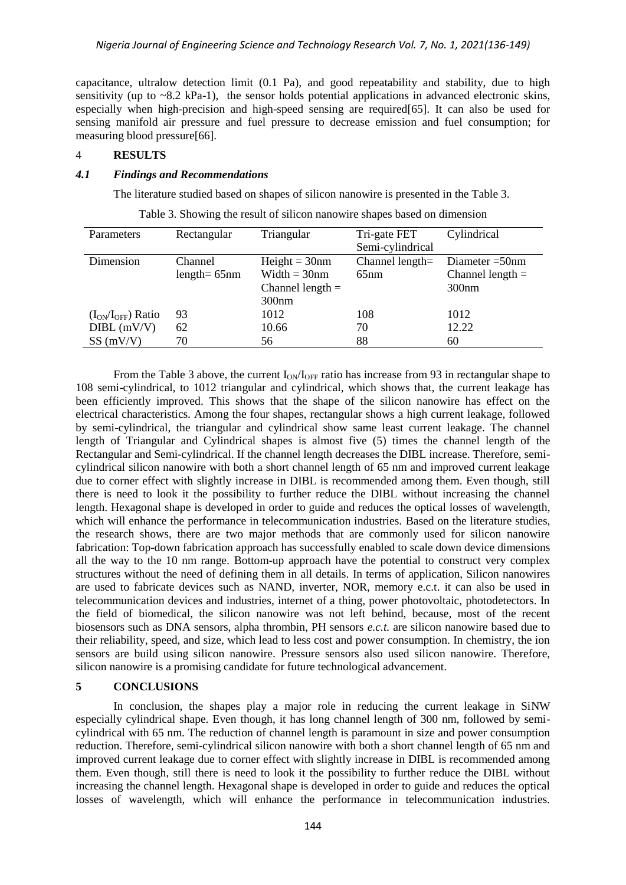capacitance, ultralow detection limit (0.1 Pa), and good repeatability and stability, due to high sensitivity (up to ~8.2 kPa-1), the sensor holds potential applications in advanced electronic skins, especially when high-precision and high-speed sensing are required[65]. It can also be used for sensing manifold air pressure and fuel pressure to decrease emission and fuel consumption; for measuring blood pressure[66].

## 4 **RESULTS**

#### *4.1 Findings and Recommendations*

The literature studied based on shapes of silicon nanowire is presented in the Table 3.

| Parameters               | Rectangular     | Triangular         | Tri-gate FET       | Cylindrical        |
|--------------------------|-----------------|--------------------|--------------------|--------------------|
|                          |                 |                    | Semi-cylindrical   |                    |
| Dimension                | Channel         | $Height = 30nm$    | Channel length $=$ | Diameter $=50$ nm  |
|                          | $length = 65nm$ | Width $=$ 30nm     | 65nm               | Channel length $=$ |
|                          |                 | Channel length $=$ |                    | 300nm              |
|                          |                 | 300nm              |                    |                    |
| $(I_{ON}/I_{OFF})$ Ratio | 93              | 1012               | 108                | 1012               |
| $DIBL$ (mV/V)            | 62              | 10.66              | 70                 | 12.22              |
| SS(mV/V)                 | 70              | 56                 | 88                 | 60                 |

Table 3. Showing the result of silicon nanowire shapes based on dimension

From the Table 3 above, the current  $I_{ON}/I_{OFF}$  ratio has increase from 93 in rectangular shape to 108 semi-cylindrical, to 1012 triangular and cylindrical, which shows that, the current leakage has been efficiently improved. This shows that the shape of the silicon nanowire has effect on the electrical characteristics. Among the four shapes, rectangular shows a high current leakage, followed by semi-cylindrical, the triangular and cylindrical show same least current leakage. The channel length of Triangular and Cylindrical shapes is almost five (5) times the channel length of the Rectangular and Semi-cylindrical. If the channel length decreases the DIBL increase. Therefore, semicylindrical silicon nanowire with both a short channel length of 65 nm and improved current leakage due to corner effect with slightly increase in DIBL is recommended among them. Even though, still there is need to look it the possibility to further reduce the DIBL without increasing the channel length. Hexagonal shape is developed in order to guide and reduces the optical losses of wavelength, which will enhance the performance in telecommunication industries. Based on the literature studies, the research shows, there are two major methods that are commonly used for silicon nanowire fabrication: Top-down fabrication approach has successfully enabled to scale down device dimensions all the way to the 10 nm range. Bottom-up approach have the potential to construct very complex structures without the need of defining them in all details. In terms of application, Silicon nanowires are used to fabricate devices such as NAND, inverter, NOR, memory e.c.t. it can also be used in telecommunication devices and industries, internet of a thing, power photovoltaic, photodetectors. In the field of biomedical, the silicon nanowire was not left behind, because, most of the recent biosensors such as DNA sensors, alpha thrombin, PH sensors *e.c.t.* are silicon nanowire based due to their reliability, speed, and size, which lead to less cost and power consumption. In chemistry, the ion sensors are build using silicon nanowire. Pressure sensors also used silicon nanowire. Therefore, silicon nanowire is a promising candidate for future technological advancement.

## **5 CONCLUSIONS**

In conclusion, the shapes play a major role in reducing the current leakage in SiNW especially cylindrical shape. Even though, it has long channel length of 300 nm, followed by semicylindrical with 65 nm. The reduction of channel length is paramount in size and power consumption reduction. Therefore, semi-cylindrical silicon nanowire with both a short channel length of 65 nm and improved current leakage due to corner effect with slightly increase in DIBL is recommended among them. Even though, still there is need to look it the possibility to further reduce the DIBL without increasing the channel length. Hexagonal shape is developed in order to guide and reduces the optical losses of wavelength, which will enhance the performance in telecommunication industries.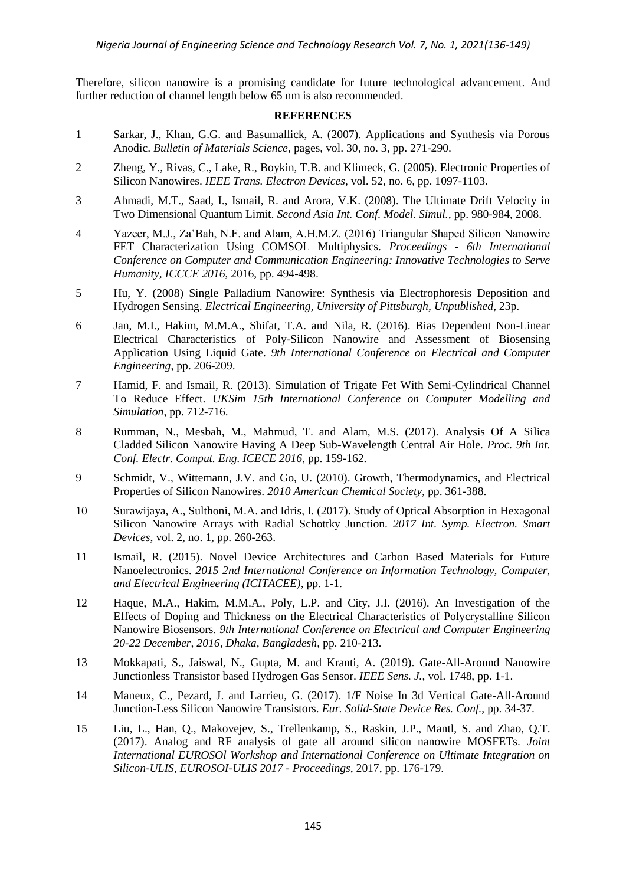Therefore, silicon nanowire is a promising candidate for future technological advancement. And further reduction of channel length below 65 nm is also recommended.

#### **REFERENCES**

- 1 Sarkar, J., Khan, G.G. and Basumallick, A. (2007). Applications and Synthesis via Porous Anodic. *[Bulletin of Materials Science](https://link.springer.com/journal/12034)*, pages, vol. 30, no. 3, pp. 271-290.
- 2 Zheng, Y., Rivas, C., Lake, R., Boykin, T.B. and Klimeck, G. (2005). Electronic Properties of Silicon Nanowires. *IEEE Trans. Electron Devices*, vol. 52, no. 6, pp. 1097-1103.
- 3 Ahmadi, M.T., Saad, I., Ismail, R. and Arora, V.K. (2008). The Ultimate Drift Velocity in Two Dimensional Quantum Limit. *Second Asia Int. Conf. Model. Simul.,* pp. 980-984, 2008.
- 4 Yazeer, M.J., Za'Bah, N.F. and Alam, A.H.M.Z. (2016) Triangular Shaped Silicon Nanowire FET Characterization Using COMSOL Multiphysics. *Proceedings - 6th International Conference on Computer and Communication Engineering: Innovative Technologies to Serve Humanity, ICCCE 2016*, 2016, pp. 494-498.
- 5 Hu, Y. (2008) Single Palladium Nanowire: Synthesis via Electrophoresis Deposition and Hydrogen Sensing. *Electrical Engineering, University of Pittsburgh, Unpublished*, 23p.
- 6 Jan, M.I., Hakim, M.M.A., Shifat, T.A. and Nila, R. (2016). Bias Dependent Non-Linear Electrical Characteristics of Poly-Silicon Nanowire and Assessment of Biosensing Application Using Liquid Gate. *9th International Conference on Electrical and Computer Engineering*, pp. 206-209.
- 7 Hamid, F. and Ismail, R. (2013). Simulation of Trigate Fet With Semi-Cylindrical Channel To Reduce Effect. *UKSim 15th International Conference on Computer Modelling and Simulation*, pp. 712-716.
- 8 Rumman, N., Mesbah, M., Mahmud, T. and Alam, M.S. (2017). Analysis Of A Silica Cladded Silicon Nanowire Having A Deep Sub-Wavelength Central Air Hole. *Proc. 9th Int. Conf. Electr. Comput. Eng. ICECE 2016*, pp. 159-162.
- 9 Schmidt, V., Wittemann, J.V. and Go, U. (2010). Growth, Thermodynamics, and Electrical Properties of Silicon Nanowires. *2010 American Chemical Society,* pp. 361-388.
- 10 Surawijaya, A., Sulthoni, M.A. and Idris, I. (2017). Study of Optical Absorption in Hexagonal Silicon Nanowire Arrays with Radial Schottky Junction. *2017 Int. Symp. Electron. Smart Devices*, vol. 2, no. 1, pp. 260-263.
- 11 Ismail, R. (2015). Novel Device Architectures and Carbon Based Materials for Future Nanoelectronics. *2015 2nd International Conference on Information Technology, Computer, and Electrical Engineering (ICITACEE),* pp. 1-1.
- 12 Haque, M.A., Hakim, M.M.A., Poly, L.P. and City, J.I. (2016). An Investigation of the Effects of Doping and Thickness on the Electrical Characteristics of Polycrystalline Silicon Nanowire Biosensors. *9th International Conference on Electrical and Computer Engineering 20-22 December, 2016, Dhaka, Bangladesh*, pp. 210-213.
- 13 Mokkapati, S., Jaiswal, N., Gupta, M. and Kranti, A. (2019). Gate-All-Around Nanowire Junctionless Transistor based Hydrogen Gas Sensor. *IEEE Sens. J.*, vol. 1748, pp. 1-1.
- 14 Maneux, C., Pezard, J. and Larrieu, G. (2017). 1/F Noise In 3d Vertical Gate-All-Around Junction-Less Silicon Nanowire Transistors. *Eur. Solid-State Device Res. Conf.*, pp. 34-37.
- 15 Liu, L., [Han,](https://ieeexplore.ieee.org/author/37086095756) Q., [Makovejev,](https://ieeexplore.ieee.org/author/37846927600) S., [Trellenkamp,](https://ieeexplore.ieee.org/author/37428194500) S., [Raskin,](https://ieeexplore.ieee.org/author/37268451300) J.P., Mantl, S. and [Zhao,](https://ieeexplore.ieee.org/author/37308800100) Q.T. (2017). Analog and RF analysis of gate all around silicon nanowire MOSFETs. *Joint International EUROSOl Workshop and International Conference on Ultimate Integration on Silicon-ULIS, EUROSOI-ULIS 2017 - Proceedings*, 2017, pp. 176-179.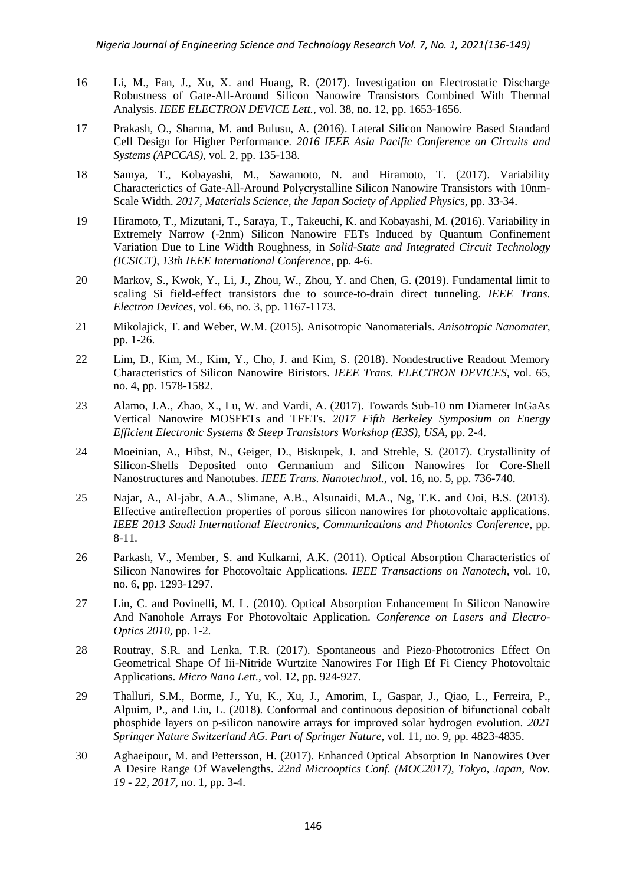- 16 Li, M., Fan, J., Xu, X. and Huang, R. (2017). Investigation on Electrostatic Discharge Robustness of Gate-All-Around Silicon Nanowire Transistors Combined With Thermal Analysis. *IEEE ELECTRON DEVICE Lett.,* vol. 38, no. 12, pp. 1653-1656.
- 17 Prakash, O., Sharma, M. and Bulusu, A. (2016). Lateral Silicon Nanowire Based Standard Cell Design for Higher Performance. *[2016 IEEE Asia Pacific Conference on Circuits and](https://ieeexplore.ieee.org/xpl/conhome/7786273/proceeding)  [Systems \(APCCAS\),](https://ieeexplore.ieee.org/xpl/conhome/7786273/proceeding)* vol. 2, pp. 135-138.
- 18 Samya, T., Kobayashi, M., Sawamoto, N. and Hiramoto, T. (2017). Variability Characterictics of Gate-All-Around Polycrystalline Silicon Nanowire Transistors with 10nm-Scale Width. *2017, Materials Science, the Japan Society of Applied Physic*s, pp. 33-34.
- 19 Hiramoto, T., Mizutani, T., Saraya, T., Takeuchi, K. and Kobayashi, M. (2016). Variability in Extremely Narrow (-2nm) Silicon Nanowire FETs Induced by Quantum Confinement Variation Due to Line Width Roughness, in *Solid-State and Integrated Circuit Technology (ICSICT), 13th IEEE International Conference*, pp. 4-6.
- 20 Markov, S., Kwok, Y., Li, J., Zhou, W., Zhou, Y. and Chen, G. (2019). Fundamental limit to scaling Si field-effect transistors due to source-to-drain direct tunneling. *IEEE Trans. Electron Devices*, vol. 66, no. 3, pp. 1167-1173.
- 21 Mikolajick, T. and Weber, W.M. (2015). Anisotropic Nanomaterials. *Anisotropic Nanomater*, pp. 1-26.
- 22 Lim, D., Kim, M., Kim, Y., Cho, J. and Kim, S. (2018). Nondestructive Readout Memory Characteristics of Silicon Nanowire Biristors. *IEEE Trans. ELECTRON DEVICES,* vol. 65, no. 4, pp. 1578-1582.
- 23 Alamo, J.A., Zhao, X., Lu, W. and Vardi, A. (2017). Towards Sub-10 nm Diameter InGaAs Vertical Nanowire MOSFETs and TFETs. *[2017 Fifth Berkeley Symposium on Energy](https://ieeexplore.ieee.org/xpl/conhome/8232886/proceeding)  [Efficient Electronic Systems & Steep Transistors Workshop \(E3S\),](https://ieeexplore.ieee.org/xpl/conhome/8232886/proceeding) USA,* pp. 2-4.
- 24 Moeinian, A., Hibst, N., Geiger, D., Biskupek, J. and Strehle, S. (2017). Crystallinity of Silicon-Shells Deposited onto Germanium and Silicon Nanowires for Core-Shell Nanostructures and Nanotubes. *IEEE Trans. Nanotechnol.*, vol. 16, no. 5, pp. 736-740.
- 25 Najar, A., Al-jabr, A.A., Slimane, A.B., Alsunaidi, M.A., Ng, T.K. and Ooi, B.S. (2013). Effective antireflection properties of porous silicon nanowires for photovoltaic applications. *IEEE [2013 Saudi International Electronics, Communications and Photonics Conference](https://ieeexplore.ieee.org/xpl/conhome/6542274/proceeding)*, pp. 8-11.
- 26 Parkash, V., Member, S. and Kulkarni, A.K. (2011). Optical Absorption Characteristics of Silicon Nanowires for Photovoltaic Applications. *[IEEE Transactions on Nanotech,](https://ieeexplore.ieee.org/xpl/RecentIssue.jsp?punumber=7729)* vol. 10, no. 6, pp. 1293-1297.
- 27 Lin, C. and Povinelli, M. L. (2010). Optical Absorption Enhancement In Silicon Nanowire And Nanohole Arrays For Photovoltaic Application. *Conference on Lasers and Electro-Optics 2010,* pp. 1-2*.*
- 28 Routray, S.R. and Lenka, T.R. (2017). Spontaneous and Piezo-Phototronics Effect On Geometrical Shape Of Iii-Nitride Wurtzite Nanowires For High Ef Fi Ciency Photovoltaic Applications. *Micro Nano Lett.*, vol. 12, pp. 924-927.
- 29 Thalluri, S.M., [Borme,](https://link.springer.com/article/10.1007/s12274-018-2070-4#auth-Jerome-Borme) J., [Yu,](https://link.springer.com/article/10.1007/s12274-018-2070-4#auth-Kang-Yu) K., [Xu,](https://link.springer.com/article/10.1007/s12274-018-2070-4#auth-Junyuan-Xu) J., [Amorim,](https://link.springer.com/article/10.1007/s12274-018-2070-4#auth-Isilda-Amorim) I., [Gaspar,](https://link.springer.com/article/10.1007/s12274-018-2070-4#auth-Joao-Gaspar) J., [Qiao,](https://link.springer.com/article/10.1007/s12274-018-2070-4#auth-Liang-Qiao) L., [Ferreira,](https://link.springer.com/article/10.1007/s12274-018-2070-4#auth-Paulo-Ferreira) P., [Alpuim,](https://link.springer.com/article/10.1007/s12274-018-2070-4#auth-Pedro-Alpuim) P., and [Liu,](https://link.springer.com/article/10.1007/s12274-018-2070-4#auth-Lifeng-Liu) L. (2018)*.* Conformal and continuous deposition of bifunctional cobalt phosphide layers on p-silicon nanowire arrays for improved solar hydrogen evolution. *2021 Springer Nature Switzerland AG. Part of [Springer Nature](https://www.springernature.com/)*, vol. 11, no. 9, pp. 4823-4835.
- 30 Aghaeipour, M. and Pettersson, H. (2017). Enhanced Optical Absorption In Nanowires Over A Desire Range Of Wavelengths. *22nd Microoptics Conf. (MOC2017), Tokyo, Japan, Nov. 19 - 22, 2017*, no. 1, pp. 3-4.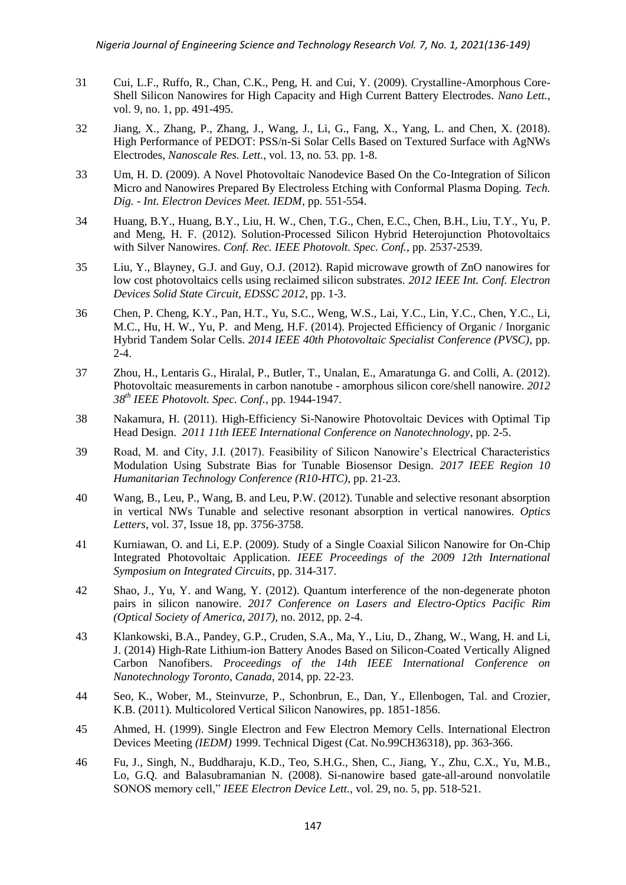- 31 Cui, L.F., Ruffo, R., Chan, C.K., Peng, H. and Cui, Y. (2009). Crystalline-Amorphous Core-Shell Silicon Nanowires for High Capacity and High Current Battery Electrodes. *Nano Lett.*, vol. 9, no. 1, pp. 491-495.
- 32 Jiang, X., Zhang, P., Zhang, J., Wang, J., Li, G., Fang, [X., Y](https://pubmed.ncbi.nlm.nih.gov/?term=Fang+X&cauthor_id=29445956)ang, L. and Chen, X. (2018). High Performance of PEDOT: PSS/n-Si Solar Cells Based on Textured Surface with AgNWs Electrodes, *Nanoscale Res. Lett.*, vol. 13, no. 53. pp. 1-8.
- 33 Um, H. D. (2009). A Novel Photovoltaic Nanodevice Based On the Co-Integration of Silicon Micro and Nanowires Prepared By Electroless Etching with Conformal Plasma Doping. *Tech. Dig. - Int. Electron Devices Meet. IEDM*, pp. 551-554.
- 34 Huang, B.Y., Huang, [B.Y., L](https://ieeexplore.ieee.org/author/38236129600)iu, [H. W.,](https://ieeexplore.ieee.org/author/37069206600) Chen, [T.G.,](https://ieeexplore.ieee.org/author/38238236200) Chen, E.C., Chen, B.H., Liu, T.Y., Yu, [P.](https://ieeexplore.ieee.org/author/37402589700) and Meng, [H. F.](https://ieeexplore.ieee.org/author/37308156700) (2012). Solution-Processed Silicon Hybrid Heterojunction Photovoltaics with Silver Nanowires. *Conf. Rec. IEEE Photovolt. Spec. Conf.*, pp. 2537-2539.
- 35 Liu, Y., Blayney, G.J. and Guy, O.J. (2012). Rapid microwave growth of ZnO nanowires for low cost photovoltaics cells using reclaimed silicon substrates. *2012 IEEE Int. Conf. Electron Devices Solid State Circuit, EDSSC 2012*, pp. 1-3.
- 36 Chen, P. Cheng, K.Y., Pan, H.T., Yu, S.C., Weng, W.S., Lai, [Y.C., L](https://ieeexplore.ieee.org/author/37085402031)in, Y.C., Chen, Y.C., Li, [M.C.,](https://ieeexplore.ieee.org/author/37694730600) Hu, [H. W.,](https://ieeexplore.ieee.org/author/37088712779) Yu, [P.](https://ieeexplore.ieee.org/author/37402589700) and Meng, [H.F.](https://ieeexplore.ieee.org/author/37308156700) (2014). Projected Efficiency of Organic / Inorganic Hybrid Tandem Solar Cells. *[2014 IEEE 40th Photovoltaic Specialist Conference \(PVSC\)](https://ieeexplore.ieee.org/xpl/conhome/6912652/proceeding)*, pp. 2-4.
- 37 Zhou, H., Lentaris [G.,](https://ieeexplore.ieee.org/author/37062889900) Hiralal, [P., B](https://ieeexplore.ieee.org/author/37393571800)utler, [T., U](https://ieeexplore.ieee.org/author/37293733700)nalan, [E.,](https://ieeexplore.ieee.org/author/38489976900) Amaratunga [G. a](https://ieeexplore.ieee.org/author/37278323200)nd Colli, [A.](https://ieeexplore.ieee.org/author/37321068400) (2012). Photovoltaic measurements in carbon nanotube - amorphous silicon core/shell nanowire. *2012 38th IEEE Photovolt. Spec. Conf.*, pp. 1944-1947.
- 38 Nakamura, H. (2011). High-Efficiency Si-Nanowire Photovoltaic Devices with Optimal Tip Head Design. *[2011 11th IEEE International Conference on Nanotechnology](https://ieeexplore.ieee.org/xpl/conhome/6125891/proceeding)*, pp. 2-5.
- 39 Road, M. and City, J.I. (2017). Feasibility of Silicon Nanowire's Electrical Characteristics Modulation Using Substrate Bias for Tunable Biosensor Design. *[2017 IEEE Region 10](https://ieeexplore.ieee.org/xpl/conhome/8283331/proceeding)  [Humanitarian Technology Conference \(R10-HTC\)](https://ieeexplore.ieee.org/xpl/conhome/8283331/proceeding)*, pp. 21-23.
- 40 Wang, B., Leu, P., Wang, B. and Leu, P.W. (2012). Tunable and selective resonant absorption in vertical NWs Tunable and selective resonant absorption in vertical nanowires. *Optics Letters,* vol. 37, [Issue 18,](https://www.osapublishing.org/ol/issue.cfm?volume=37&issue=18) pp. 3756-3758.
- 41 Kurniawan, O. and Li, E.P. (2009). Study of a Single Coaxial Silicon Nanowire for On-Chip Integrated Photovoltaic Application. *IEEE [Proceedings of the 2009 12th International](https://ieeexplore.ieee.org/xpl/conhome/5398766/proceeding)  [Symposium on Integrated Circuits](https://ieeexplore.ieee.org/xpl/conhome/5398766/proceeding)*, pp. 314-317.
- 42 Shao, J., Yu, Y. and Wang, Y. (2012). Quantum interference of the non-degenerate photon pairs in silicon nanowire. *2017 Conference on Lasers and Electro-Optics Pacific Rim (Optical Society of America, 2017)*, no. 2012, pp. 2-4.
- 43 Klankowski, [B.A.,](https://www.researchgate.net/profile/Brett-Cruden?_sg%5B0%5D=jsE1jItKWojUUkkF7xXV19VcAuHmntMGFkYacUU5Lo7NWs6c9DESupDbv79FdDzUf3nzsp0.mqbmqFv4SCIyOH_6ZWZVDR0uJl-mbe0vu3-LzJXBTe3oKuusKcYyBsV11JBFwmRqh6pdvK3rrFdHr4cMz1Haiw&_sg%5B1%5D=CAwICe7NAs97DWorWhp7JEK7j36OAttoLQ7EYmSoKzdeqSsA146dPtJMayIet7rP63KnCGE.5V-R2wf1ekbdiRD4bET2j6lFumx7Ll21er_pEV-ks-ZNHqbkPPTwM_NoqCNwYxN4swsXyX5zDlJLf_VDLTbdMg) Pandey, [G.P.,](https://www.researchgate.net/profile/Gaind-P-Pandey?_sg%5B0%5D=jsE1jItKWojUUkkF7xXV19VcAuHmntMGFkYacUU5Lo7NWs6c9DESupDbv79FdDzUf3nzsp0.mqbmqFv4SCIyOH_6ZWZVDR0uJl-mbe0vu3-LzJXBTe3oKuusKcYyBsV11JBFwmRqh6pdvK3rrFdHr4cMz1Haiw&_sg%5B1%5D=CAwICe7NAs97DWorWhp7JEK7j36OAttoLQ7EYmSoKzdeqSsA146dPtJMayIet7rP63KnCGE.5V-R2wf1ekbdiRD4bET2j6lFumx7Ll21er_pEV-ks-ZNHqbkPPTwM_NoqCNwYxN4swsXyX5zDlJLf_VDLTbdMg) Cruden, S.A., Ma, Y., Liu, D., Zhang, [W., W](https://www.researchgate.net/scientific-contributions/Wei-Zhang-2188880124?_sg%5B0%5D=2z6ez3hqjj4AgwDXVoorwvFkF0f_AhTQwH53zP-SomQ2Jr7D5uZVoqEjnyOCGXtCpNNdpDQ.NF_bP2UXzlhVTecM9UhC3X_2aorkPbgAhHIwpj9_1k45i1dmjCDurptdQq3xgkz5cnba1YdaxvMcCijKVo5Xyw&_sg%5B1%5D=cDzAIthGHcAtOjlJ7T-d2ToMljzhWmFI_fdX4XRJV6HX6MYYQvGe9dbDRnBK08TksOZJSLk.bhyGeIiwVhrTKcjTGZYWPmPN4wMYQ_z09zPAsNhFFMC48ekPIP40uCmU6Om-jQyGuvzXPTzSsHWGxeyfVo0o9g)ang, [H.](https://www.researchgate.net/scientific-contributions/Hanyang-Wang-2165229862?_sg%5B0%5D=2z6ez3hqjj4AgwDXVoorwvFkF0f_AhTQwH53zP-SomQ2Jr7D5uZVoqEjnyOCGXtCpNNdpDQ.NF_bP2UXzlhVTecM9UhC3X_2aorkPbgAhHIwpj9_1k45i1dmjCDurptdQq3xgkz5cnba1YdaxvMcCijKVo5Xyw&_sg%5B1%5D=cDzAIthGHcAtOjlJ7T-d2ToMljzhWmFI_fdX4XRJV6HX6MYYQvGe9dbDRnBK08TksOZJSLk.bhyGeIiwVhrTKcjTGZYWPmPN4wMYQ_z09zPAsNhFFMC48ekPIP40uCmU6Om-jQyGuvzXPTzSsHWGxeyfVo0o9g) and Li, J. (2014) High-Rate Lithium-ion Battery Anodes Based on Silicon-Coated Vertically Aligned Carbon Nanofibers. *Proceedings of the 14th IEEE International Conference on Nanotechnology Toronto, Canada,* 2014, pp. 22-23.
- 44 Seo, K*.*, Wober, M., Steinvurze, [P.,](https://pubs.acs.org/action/doSearch?field1=Contrib&text1=Paul++Steinvurzel) Schonbrun, E., Dan, Y., Ellenbogen, [Tal.](https://pubs.acs.org/action/doSearch?field1=Contrib&text1=Tal++Ellenbogen) and Crozier, [K.B.](https://pubs.acs.org/action/doSearch?field1=Contrib&text1=Kenneth+B.++Crozier) (2011). Multicolored Vertical Silicon Nanowires, pp. 1851-1856.
- 45 Ahmed, H. (1999). Single Electron and Few Electron Memory Cells. [International Electron](https://ieeexplore.ieee.org/xpl/conhome/6669/proceeding)  Devices Meeting *(IEDM)* [1999. Technical Digest \(Cat. No.99CH36318\),](https://ieeexplore.ieee.org/xpl/conhome/6669/proceeding) pp. 363-366.
- 46 Fu, J., Singh, [N.,](https://ieeexplore.ieee.org/author/37285383900) Buddharaju, K.D., Teo, S.H.G., Shen, C., Jiang, Y., Zhu, C.X., Yu, [M.B.,](https://ieeexplore.ieee.org/author/37275738400)  Lo, G.Q. and Balasubramanian [N.](https://ieeexplore.ieee.org/author/37272275000) (2008). Si-nanowire based gate-all-around nonvolatile SONOS memory cell," *IEEE Electron Device Lett.*, vol. 29, no. 5, pp. 518-521.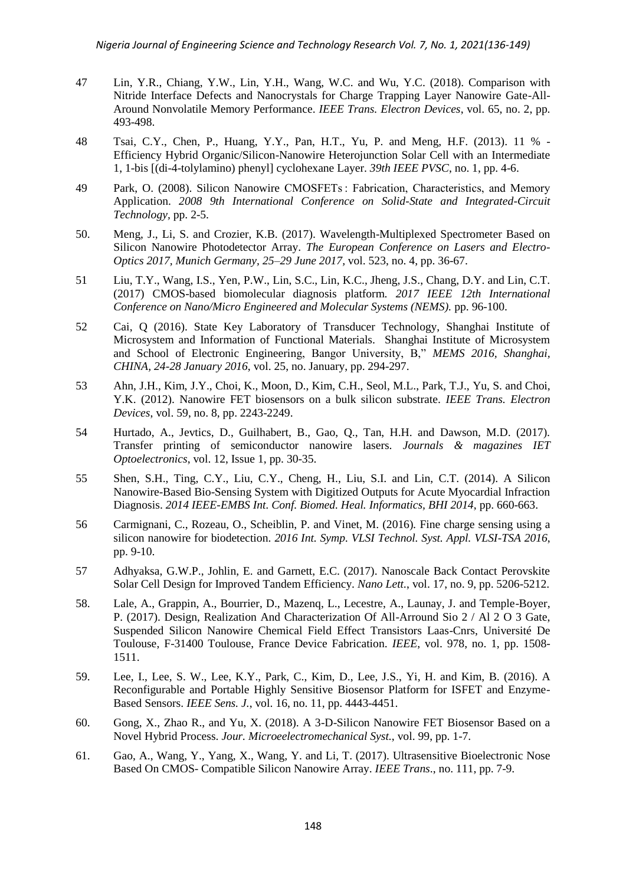- 47 Lin, Y.R., Chiang, Y.W., Lin, Y.H., Wang, W.C. and Wu, Y.C. (2018). Comparison with Nitride Interface Defects and Nanocrystals for Charge Trapping Layer Nanowire Gate-All-Around Nonvolatile Memory Performance. *IEEE Trans. Electron Devices*, vol. 65, no. 2, pp. 493-498.
- 48 Tsai, C.Y., Chen, P., Huang, Y.Y., Pan, H.T., Yu, P. and Meng, H.F. (2013). 11 % Efficiency Hybrid Organic/Silicon-Nanowire Heterojunction Solar Cell with an Intermediate 1, 1-bis [(di-4-tolylamino) phenyl] cyclohexane Layer. *39th IEEE PVSC*, no. 1, pp. 4-6.
- 49 Park, O. (2008). Silicon Nanowire CMOSFETs : Fabrication, Characteristics, and Memory Application. *[2008 9th International Conference on Solid-State and Integrated-Circuit](https://ieeexplore.ieee.org/xpl/conhome/4700819/proceeding)  [Technology,](https://ieeexplore.ieee.org/xpl/conhome/4700819/proceeding)* pp. 2-5.
- 50. Meng, J., Li, S. and Crozier, K.B. (2017). Wavelength-Multiplexed Spectrometer Based on Silicon Nanowire Photodetector Array. *The European Conference on Lasers and Electro-Optics 2017, Munich Germany, 25–29 June 2017,* vol. 523, no. 4, pp. 36-67.
- 51 Liu, T.Y., Wang, I.S., Yen, P.W., Lin, S.C., Lin, K.C., Jheng, J.S., Chang, D.Y. and Lin, C.T. (2017) CMOS-based biomolecular diagnosis platform. *[2017 IEEE 12th International](https://ieeexplore.ieee.org/xpl/conhome/8012169/proceeding)  [Conference on Nano/Micro Engineered and Molecular Systems \(NEMS\).](https://ieeexplore.ieee.org/xpl/conhome/8012169/proceeding)* pp. 96-100.
- 52 Cai, Q (2016). State Key Laboratory of Transducer Technology, Shanghai Institute of Microsystem and Information of Functional Materials. Shanghai Institute of Microsystem and School of Electronic Engineering, Bangor University, B," *MEMS 2016, Shanghai, CHINA, 24-28 January 2016*, vol. 25, no. January, pp. 294-297.
- 53 Ahn, J.H., Kim, [J.Y., C](https://ieeexplore.ieee.org/author/37579250300)hoi, K., Moon, D., Kim, [C.H., S](https://ieeexplore.ieee.org/author/38184252900)eol, M.L., Park, [T.J.,](https://ieeexplore.ieee.org/author/37407064200) Yu, [S.](https://ieeexplore.ieee.org/author/37067452100) and Choi, Y.K. (2012). Nanowire FET biosensors on a bulk silicon substrate. *IEEE Trans. Electron Devices*, vol. 59, no. 8, pp. 2243-2249.
- 54 Hurtado, A., Jevtics, D., Guilhabert, B., Gao, Q., Tan, H.H. and Dawson, M.D. (2017). Transfer printing of semiconductor nanowire lasers. *[Journals & magazines](https://digital-library.theiet.org/content/journals;jsessionid=1aq50ukwe2wma.x-iet-live-01) [IET](https://digital-library.theiet.org/content/journals/iet-opt;jsessionid=1aq50ukwe2wma.x-iet-live-01)  [Optoelectronics](https://digital-library.theiet.org/content/journals/iet-opt;jsessionid=1aq50ukwe2wma.x-iet-live-01)*, [vol. 12, Issue 1,](https://digital-library.theiet.org/content/journals/iet-opt/12/1;jsessionid=1aq50ukwe2wma.x-iet-live-01) pp. 30-35.
- 55 Shen, S.H., Ting, C.Y., Liu, C.Y., Cheng, H., Liu, S.I. and Lin, C.T. (2014). A Silicon Nanowire-Based Bio-Sensing System with Digitized Outputs for Acute Myocardial Infraction Diagnosis. *2014 IEEE-EMBS Int. Conf. Biomed. Heal. Informatics, BHI 2014*, pp. 660-663.
- 56 Carmignani, C., Rozeau, O., Scheiblin, [P.](https://www.researchgate.net/scientific-contributions/P-Scheiblin-7492399?_sg%5B0%5D=iqOUeplvhOzA62crpkom5R2cpl7m7auyCBPzCBXcMQrZ3trcvhe0pGpfp_iGGRu_LIoxgbU.h4ExgwtGAuCNNMmmnJEKhqlcnPGT08HtGfWO2BaXw924ZokGE5RK4AiobgVdouB_AdIkCwuBAfWTBHoDUse9hg&_sg%5B1%5D=7iO9hgY8XmQNoUyTQwPsupeyELIy_QPOkSpqazvmIZFt9DmVeJZkL0WHQyI50kA-iDwcf7g.ozKyYv0ZmbeiMYnARfaAUZa5g9zIEo74kIK9jCAL2RZ-NL0XhRsf2WFVXTGZzBL3sHCtY5caJAfrMFW0q1tKvg) and [Vinet,](https://www.researchgate.net/scientific-contributions/M-Vinet-10185929?_sg%5B0%5D=iqOUeplvhOzA62crpkom5R2cpl7m7auyCBPzCBXcMQrZ3trcvhe0pGpfp_iGGRu_LIoxgbU.h4ExgwtGAuCNNMmmnJEKhqlcnPGT08HtGfWO2BaXw924ZokGE5RK4AiobgVdouB_AdIkCwuBAfWTBHoDUse9hg&_sg%5B1%5D=7iO9hgY8XmQNoUyTQwPsupeyELIy_QPOkSpqazvmIZFt9DmVeJZkL0WHQyI50kA-iDwcf7g.ozKyYv0ZmbeiMYnARfaAUZa5g9zIEo74kIK9jCAL2RZ-NL0XhRsf2WFVXTGZzBL3sHCtY5caJAfrMFW0q1tKvg) M. (2016)*.* Fine charge sensing using a silicon nanowire for biodetection. *2016 Int. Symp. VLSI Technol. Syst. Appl. VLSI-TSA 2016*, pp. 9-10.
- 57 Adhyaksa, G.W.P., Johlin, E. and Garnett, E.C. (2017). Nanoscale Back Contact Perovskite Solar Cell Design for Improved Tandem Efficiency. *Nano Lett.*, vol. 17, no. 9, pp. 5206-5212.
- 58. Lale, A., Grappin, A., Bourrier, D., Mazenq, L., Lecestre, A., Launay, J. and Temple-Boyer, P. (2017). Design, Realization And Characterization Of All-Arround Sio 2 / Al 2 O 3 Gate, Suspended Silicon Nanowire Chemical Field Effect Transistors Laas-Cnrs, Université De Toulouse, F-31400 Toulouse, France Device Fabrication. *IEEE*, vol. 978, no. 1, pp. 1508- 1511.
- 59. Lee, I., [Lee,](https://ieeexplore.ieee.org/author/37085699192) S. W., [Lee,](https://ieeexplore.ieee.org/author/37085686365) K.Y., [Park,](https://ieeexplore.ieee.org/author/37085338031) C., [Kim,](https://ieeexplore.ieee.org/author/37085630186) D., [Lee,](https://ieeexplore.ieee.org/author/38248095100) J.S., [Yi,](https://ieeexplore.ieee.org/author/37085690799) H. and [Kim,](https://ieeexplore.ieee.org/author/38570570300) B. (2016). A Reconfigurable and Portable Highly Sensitive Biosensor Platform for ISFET and Enzyme-Based Sensors. *IEEE Sens. J.*, vol. 16, no. 11, pp. 4443-4451.
- 60. Gong, X., Zhao R., and Yu, X. (2018). A 3-D-Silicon Nanowire FET Biosensor Based on a Novel Hybrid Process. *Jour. Microeelectromechanical Syst.*, vol. 99, pp. 1-7.
- 61. Gao, A., Wang, Y., Yang, X., Wang, Y. and Li, T. (2017). Ultrasensitive Bioelectronic Nose Based On CMOS- Compatible Silicon Nanowire Array. *IEEE Trans*., no. 111, pp. 7-9.